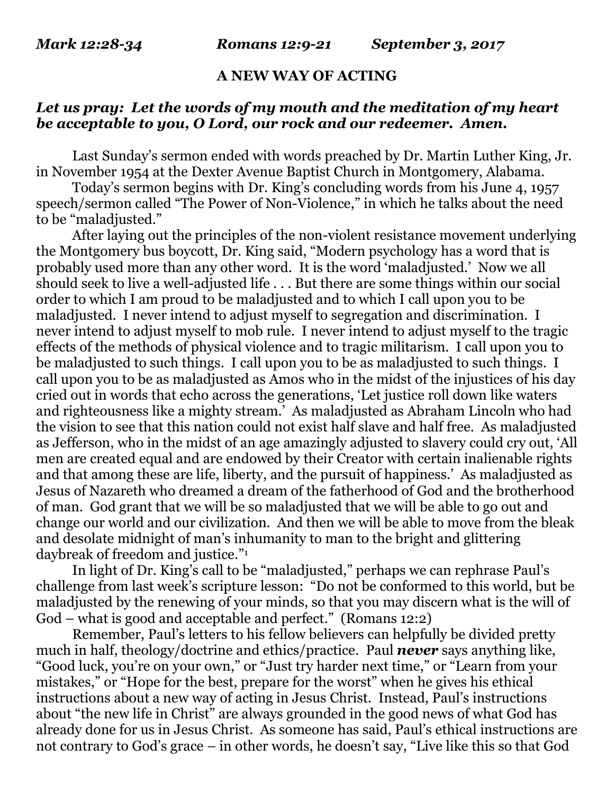*Mark 12:28-34 Romans 12:9-21 September 3, 2017*

## **A NEW WAY OF ACTING**

## *Let us pray: Let the words of my mouth and the meditation of my heart be acceptable to you, O Lord, our rock and our redeemer. Amen.*

Last Sunday's sermon ended with words preached by Dr. Martin Luther King, Jr. in November 1954 at the Dexter Avenue Baptist Church in Montgomery, Alabama.

Today's sermon begins with Dr. King's concluding words from his June 4, 1957 speech/sermon called "The Power of Non-Violence," in which he talks about the need to be "maladjusted."

After laying out the principles of the non-violent resistance movement underlying the Montgomery bus boycott, Dr. King said, "Modern psychology has a word that is probably used more than any other word. It is the word 'maladjusted.' Now we all should seek to live a well-adjusted life . . . But there are some things within our social order to which I am proud to be maladjusted and to which I call upon you to be maladjusted. I never intend to adjust myself to segregation and discrimination. I never intend to adjust myself to mob rule. I never intend to adjust myself to the tragic effects of the methods of physical violence and to tragic militarism. I call upon you to be maladjusted to such things. I call upon you to be as maladjusted to such things. I call upon you to be as maladjusted as Amos who in the midst of the injustices of his day cried out in words that echo across the generations, 'Let justice roll down like waters and righteousness like a mighty stream.' As maladjusted as Abraham Lincoln who had the vision to see that this nation could not exist half slave and half free. As maladjusted as Jefferson, who in the midst of an age amazingly adjusted to slavery could cry out, 'All men are created equal and are endowed by their Creator with certain inalienable rights and that among these are life, liberty, and the pursuit of happiness.' As maladjusted as Jesus of Nazareth who dreamed a dream of the fatherhood of God and the brotherhood of man. God grant that we will be so maladjusted that we will be able to go out and change our world and our civilization. And then we will be able to move from the bleak and desolate midnight of man's inhumanity to man to the bright and glittering daybreak of freedom and justice."<sup>1</sup>

In light of Dr. King's call to be "maladjusted," perhaps we can rephrase Paul's challenge from last week's scripture lesson: "Do not be conformed to this world, but be maladjusted by the renewing of your minds, so that you may discern what is the will of God – what is good and acceptable and perfect." (Romans 12:2)

Remember, Paul's letters to his fellow believers can helpfully be divided pretty much in half, theology/doctrine and ethics/practice. Paul *never* says anything like, "Good luck, you're on your own," or "Just try harder next time," or "Learn from your mistakes," or "Hope for the best, prepare for the worst" when he gives his ethical instructions about a new way of acting in Jesus Christ. Instead, Paul's instructions about "the new life in Christ" are always grounded in the good news of what God has already done for us in Jesus Christ. As someone has said, Paul's ethical instructions are not contrary to God's grace – in other words, he doesn't say, "Live like this so that God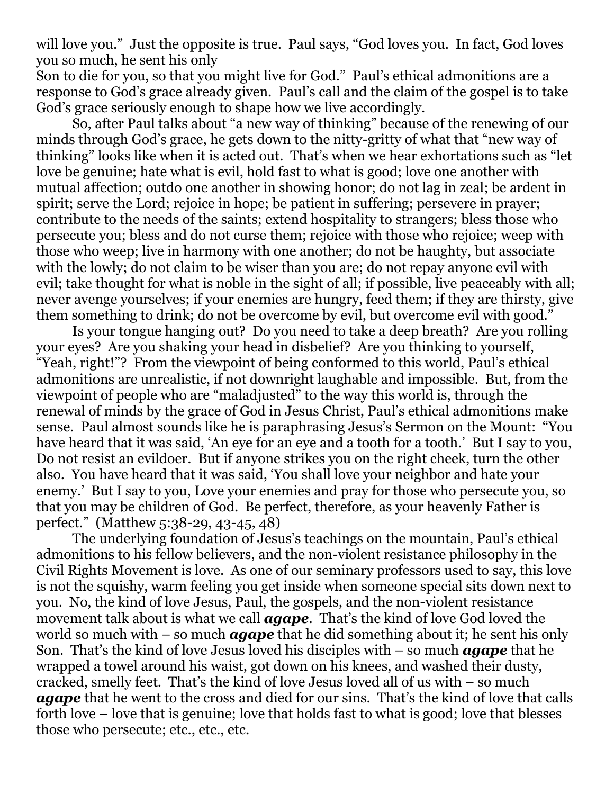will love you." Just the opposite is true. Paul says, "God loves you. In fact, God loves you so much, he sent his only

Son to die for you, so that you might live for God." Paul's ethical admonitions are a response to God's grace already given. Paul's call and the claim of the gospel is to take God's grace seriously enough to shape how we live accordingly.

So, after Paul talks about "a new way of thinking" because of the renewing of our minds through God's grace, he gets down to the nitty-gritty of what that "new way of thinking" looks like when it is acted out. That's when we hear exhortations such as "let love be genuine; hate what is evil, hold fast to what is good; love one another with mutual affection; outdo one another in showing honor; do not lag in zeal; be ardent in spirit; serve the Lord; rejoice in hope; be patient in suffering; persevere in prayer; contribute to the needs of the saints; extend hospitality to strangers; bless those who persecute you; bless and do not curse them; rejoice with those who rejoice; weep with those who weep; live in harmony with one another; do not be haughty, but associate with the lowly; do not claim to be wiser than you are; do not repay anyone evil with evil; take thought for what is noble in the sight of all; if possible, live peaceably with all; never avenge yourselves; if your enemies are hungry, feed them; if they are thirsty, give them something to drink; do not be overcome by evil, but overcome evil with good."

Is your tongue hanging out? Do you need to take a deep breath? Are you rolling your eyes? Are you shaking your head in disbelief? Are you thinking to yourself, "Yeah, right!"? From the viewpoint of being conformed to this world, Paul's ethical admonitions are unrealistic, if not downright laughable and impossible. But, from the viewpoint of people who are "maladjusted" to the way this world is, through the renewal of minds by the grace of God in Jesus Christ, Paul's ethical admonitions make sense. Paul almost sounds like he is paraphrasing Jesus's Sermon on the Mount: "You have heard that it was said, 'An eye for an eye and a tooth for a tooth.' But I say to you, Do not resist an evildoer. But if anyone strikes you on the right cheek, turn the other also. You have heard that it was said, 'You shall love your neighbor and hate your enemy.' But I say to you, Love your enemies and pray for those who persecute you, so that you may be children of God. Be perfect, therefore, as your heavenly Father is perfect." (Matthew 5:38-29, 43-45, 48)

The underlying foundation of Jesus's teachings on the mountain, Paul's ethical admonitions to his fellow believers, and the non-violent resistance philosophy in the Civil Rights Movement is love. As one of our seminary professors used to say, this love is not the squishy, warm feeling you get inside when someone special sits down next to you. No, the kind of love Jesus, Paul, the gospels, and the non-violent resistance movement talk about is what we call *agape*. That's the kind of love God loved the world so much with – so much *agape* that he did something about it; he sent his only Son. That's the kind of love Jesus loved his disciples with – so much *agape* that he wrapped a towel around his waist, got down on his knees, and washed their dusty, cracked, smelly feet. That's the kind of love Jesus loved all of us with – so much *agape* that he went to the cross and died for our sins. That's the kind of love that calls forth love – love that is genuine; love that holds fast to what is good; love that blesses those who persecute; etc., etc., etc.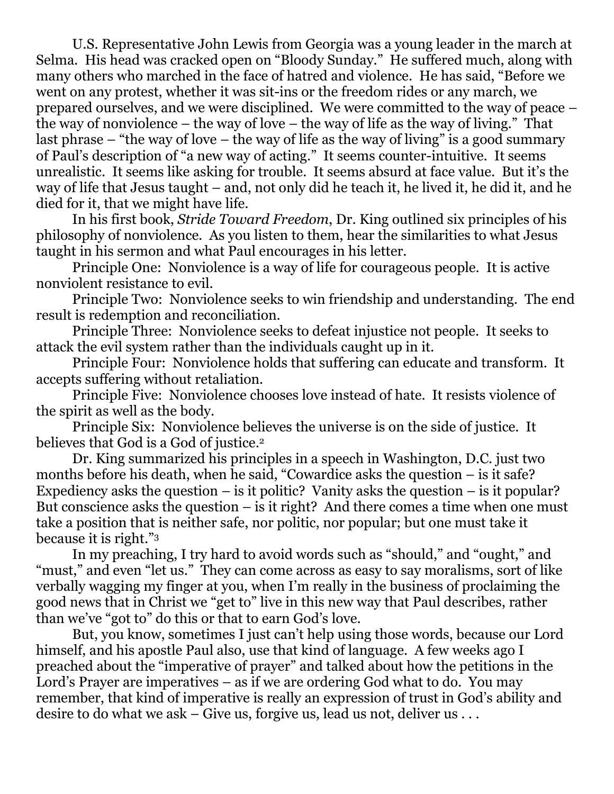U.S. Representative John Lewis from Georgia was a young leader in the march at Selma. His head was cracked open on "Bloody Sunday." He suffered much, along with many others who marched in the face of hatred and violence. He has said, "Before we went on any protest, whether it was sit-ins or the freedom rides or any march, we prepared ourselves, and we were disciplined. We were committed to the way of peace – the way of nonviolence – the way of love – the way of life as the way of living." That last phrase  $-$  "the way of love  $-$  the way of life as the way of living" is a good summary of Paul's description of "a new way of acting." It seems counter-intuitive. It seems unrealistic. It seems like asking for trouble. It seems absurd at face value. But it's the way of life that Jesus taught – and, not only did he teach it, he lived it, he did it, and he died for it, that we might have life.

In his first book, *Stride Toward Freedom*, Dr. King outlined six principles of his philosophy of nonviolence. As you listen to them, hear the similarities to what Jesus taught in his sermon and what Paul encourages in his letter.

Principle One: Nonviolence is a way of life for courageous people. It is active nonviolent resistance to evil.

Principle Two: Nonviolence seeks to win friendship and understanding. The end result is redemption and reconciliation.

Principle Three: Nonviolence seeks to defeat injustice not people. It seeks to attack the evil system rather than the individuals caught up in it.

Principle Four: Nonviolence holds that suffering can educate and transform. It accepts suffering without retaliation.

Principle Five: Nonviolence chooses love instead of hate. It resists violence of the spirit as well as the body.

Principle Six: Nonviolence believes the universe is on the side of justice. It believes that God is a God of justice.<sup>2</sup>

Dr. King summarized his principles in a speech in Washington, D.C. just two months before his death, when he said, "Cowardice asks the question – is it safe? Expediency asks the question – is it politic? Vanity asks the question – is it popular? But conscience asks the question  $-$  is it right? And there comes a time when one must take a position that is neither safe, nor politic, nor popular; but one must take it because it is right."<sup>3</sup>

In my preaching, I try hard to avoid words such as "should," and "ought," and "must," and even "let us." They can come across as easy to say moralisms, sort of like verbally wagging my finger at you, when I'm really in the business of proclaiming the good news that in Christ we "get to" live in this new way that Paul describes, rather than we've "got to" do this or that to earn God's love.

But, you know, sometimes I just can't help using those words, because our Lord himself, and his apostle Paul also, use that kind of language. A few weeks ago I preached about the "imperative of prayer" and talked about how the petitions in the Lord's Prayer are imperatives – as if we are ordering God what to do. You may remember, that kind of imperative is really an expression of trust in God's ability and desire to do what we ask – Give us, forgive us, lead us not, deliver us . . .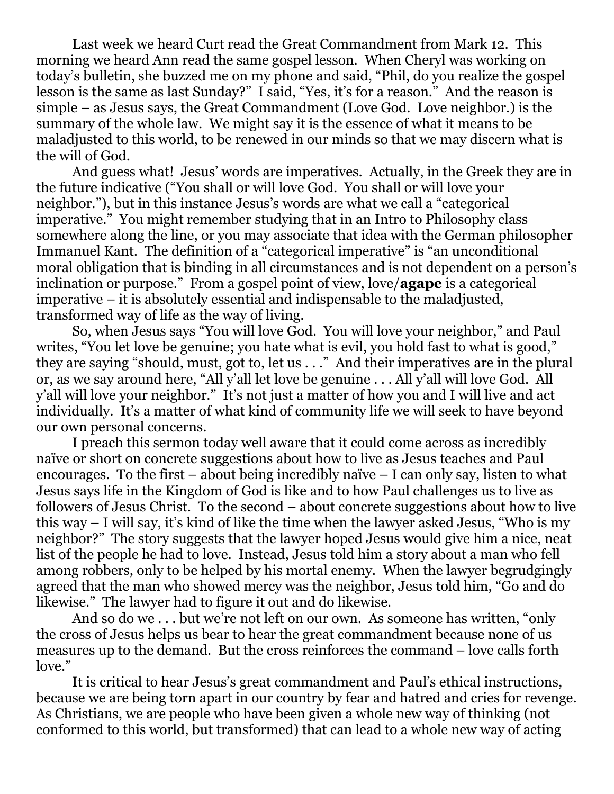Last week we heard Curt read the Great Commandment from Mark 12. This morning we heard Ann read the same gospel lesson. When Cheryl was working on today's bulletin, she buzzed me on my phone and said, "Phil, do you realize the gospel lesson is the same as last Sunday?" I said, "Yes, it's for a reason." And the reason is simple – as Jesus says, the Great Commandment (Love God. Love neighbor.) is the summary of the whole law. We might say it is the essence of what it means to be maladjusted to this world, to be renewed in our minds so that we may discern what is the will of God.

And guess what! Jesus' words are imperatives. Actually, in the Greek they are in the future indicative ("You shall or will love God. You shall or will love your neighbor."), but in this instance Jesus's words are what we call a "categorical imperative." You might remember studying that in an Intro to Philosophy class somewhere along the line, or you may associate that idea with the German philosopher Immanuel Kant. The definition of a "categorical imperative" is "an unconditional moral obligation that is binding in all circumstances and is not dependent on a person's inclination or purpose." From a gospel point of view, love/**agape** is a categorical imperative – it is absolutely essential and indispensable to the maladjusted, transformed way of life as the way of living.

So, when Jesus says "You will love God. You will love your neighbor," and Paul writes, "You let love be genuine; you hate what is evil, you hold fast to what is good," they are saying "should, must, got to, let us . . ." And their imperatives are in the plural or, as we say around here, "All y'all let love be genuine . . . All y'all will love God. All y'all will love your neighbor." It's not just a matter of how you and I will live and act individually. It's a matter of what kind of community life we will seek to have beyond our own personal concerns.

I preach this sermon today well aware that it could come across as incredibly naïve or short on concrete suggestions about how to live as Jesus teaches and Paul encourages. To the first – about being incredibly naïve – I can only say, listen to what Jesus says life in the Kingdom of God is like and to how Paul challenges us to live as followers of Jesus Christ. To the second – about concrete suggestions about how to live this way – I will say, it's kind of like the time when the lawyer asked Jesus, "Who is my neighbor?" The story suggests that the lawyer hoped Jesus would give him a nice, neat list of the people he had to love. Instead, Jesus told him a story about a man who fell among robbers, only to be helped by his mortal enemy. When the lawyer begrudgingly agreed that the man who showed mercy was the neighbor, Jesus told him, "Go and do likewise." The lawyer had to figure it out and do likewise.

And so do we . . . but we're not left on our own. As someone has written, "only the cross of Jesus helps us bear to hear the great commandment because none of us measures up to the demand. But the cross reinforces the command – love calls forth love."

It is critical to hear Jesus's great commandment and Paul's ethical instructions, because we are being torn apart in our country by fear and hatred and cries for revenge. As Christians, we are people who have been given a whole new way of thinking (not conformed to this world, but transformed) that can lead to a whole new way of acting